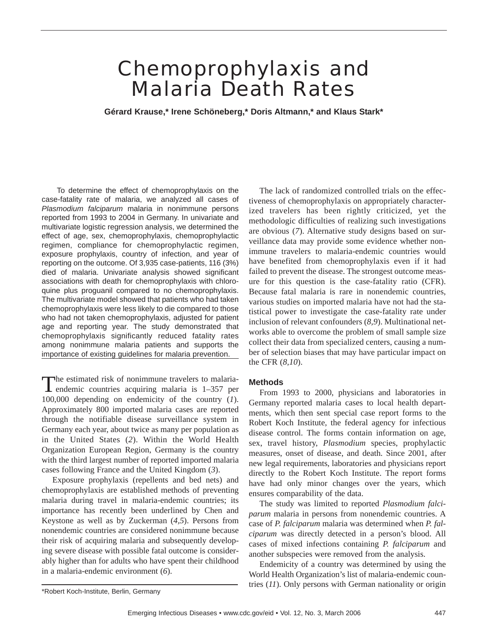# Chemoprophylaxis and Malaria Death Rates

**Gérard Krause,\* Irene Schöneberg,\* Doris Altmann,\* and Klaus Stark\***

To determine the effect of chemoprophylaxis on the case-fatality rate of malaria, we analyzed all cases of *Plasmodium falciparum* malaria in nonimmune persons reported from 1993 to 2004 in Germany. In univariate and multivariate logistic regression analysis, we determined the effect of age, sex, chemoprophylaxis, chemoprophylactic regimen, compliance for chemoprophylactic regimen, exposure prophylaxis, country of infection, and year of reporting on the outcome. Of 3,935 case-patients, 116 (3%) died of malaria. Univariate analysis showed significant associations with death for chemoprophylaxis with chloroquine plus proguanil compared to no chemoprophylaxis. The multivariate model showed that patients who had taken chemoprophylaxis were less likely to die compared to those who had not taken chemoprophylaxis, adjusted for patient age and reporting year. The study demonstrated that chemoprophylaxis significantly reduced fatality rates among nonimmune malaria patients and supports the importance of existing guidelines for malaria prevention.

The estimated risk of nonimmune travelers to malaria-<br>endemic countries acquiring malaria is 1-357 per 100,000 depending on endemicity of the country (*1*). Approximately 800 imported malaria cases are reported through the notifiable disease surveillance system in Germany each year, about twice as many per population as in the United States (*2*). Within the World Health Organization European Region, Germany is the country with the third largest number of reported imported malaria cases following France and the United Kingdom (*3*).

Exposure prophylaxis (repellents and bed nets) and chemoprophylaxis are established methods of preventing malaria during travel in malaria-endemic countries; its importance has recently been underlined by Chen and Keystone as well as by Zuckerman (*4,5*). Persons from nonendemic countries are considered nonimmune because their risk of acquiring malaria and subsequently developing severe disease with possible fatal outcome is considerably higher than for adults who have spent their childhood in a malaria-endemic environment (*6*).

The lack of randomized controlled trials on the effectiveness of chemoprophylaxis on appropriately characterized travelers has been rightly criticized, yet the methodologic difficulties of realizing such investigations are obvious (*7*). Alternative study designs based on surveillance data may provide some evidence whether nonimmune travelers to malaria-endemic countries would have benefited from chemoprophylaxis even if it had failed to prevent the disease. The strongest outcome measure for this question is the case-fatality ratio (CFR). Because fatal malaria is rare in nonendemic countries, various studies on imported malaria have not had the statistical power to investigate the case-fatality rate under inclusion of relevant confounders (*8,9*). Multinational networks able to overcome the problem of small sample size collect their data from specialized centers, causing a number of selection biases that may have particular impact on the CFR (*8,10*).

# **Methods**

From 1993 to 2000, physicians and laboratories in Germany reported malaria cases to local health departments, which then sent special case report forms to the Robert Koch Institute, the federal agency for infectious disease control. The forms contain information on age, sex, travel history, *Plasmodium* species, prophylactic measures, onset of disease, and death. Since 2001, after new legal requirements, laboratories and physicians report directly to the Robert Koch Institute. The report forms have had only minor changes over the years, which ensures comparability of the data.

The study was limited to reported *Plasmodium falciparum* malaria in persons from nonendemic countries. A case of *P. falciparum* malaria was determined when *P. falciparum* was directly detected in a person's blood. All cases of mixed infections containing *P. falciparum* and another subspecies were removed from the analysis.

Endemicity of a country was determined by using the World Health Organization's list of malaria-endemic countries (*11*). Only persons with German nationality or origin

<sup>\*</sup>Robert Koch-Institute, Berlin, Germany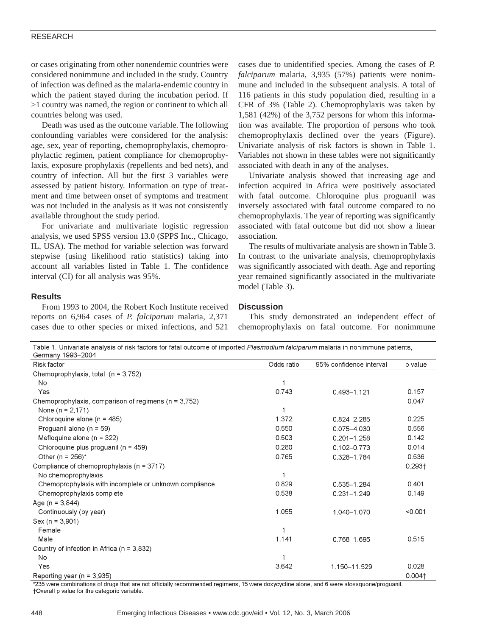## RESEARCH

or cases originating from other nonendemic countries were considered nonimmune and included in the study. Country of infection was defined as the malaria-endemic country in which the patient stayed during the incubation period. If >1 country was named, the region or continent to which all countries belong was used.

Death was used as the outcome variable. The following confounding variables were considered for the analysis: age, sex, year of reporting, chemoprophylaxis, chemoprophylactic regimen, patient compliance for chemoprophylaxis, exposure prophylaxis (repellents and bed nets), and country of infection. All but the first 3 variables were assessed by patient history. Information on type of treatment and time between onset of symptoms and treatment was not included in the analysis as it was not consistently available throughout the study period.

For univariate and multivariate logistic regression analysis, we used SPSS version 13.0 (SPPS Inc., Chicago, IL, USA). The method for variable selection was forward stepwise (using likelihood ratio statistics) taking into account all variables listed in Table 1. The confidence interval (CI) for all analysis was 95%.

cases due to unidentified species. Among the cases of *P. falciparum* malaria, 3,935 (57%) patients were nonimmune and included in the subsequent analysis. A total of 116 patients in this study population died, resulting in a CFR of 3% (Table 2). Chemoprophylaxis was taken by 1,581 (42%) of the 3,752 persons for whom this information was available. The proportion of persons who took chemoprophylaxis declined over the years (Figure). Univariate analysis of risk factors is shown in Table 1. Variables not shown in these tables were not significantly associated with death in any of the analyses.

Univariate analysis showed that increasing age and infection acquired in Africa were positively associated with fatal outcome. Chloroquine plus proguanil was inversely associated with fatal outcome compared to no chemoprophylaxis. The year of reporting was significantly associated with fatal outcome but did not show a linear association.

The results of multivariate analysis are shown in Table 3. In contrast to the univariate analysis, chemoprophylaxis was significantly associated with death. Age and reporting year remained significantly associated in the multivariate model (Table 3).

#### **Results**

From 1993 to 2004, the Robert Koch Institute received reports on 6,964 cases of *P. falciparum* malaria, 2,371 cases due to other species or mixed infections, and 521

**Discussion**

This study demonstrated an independent effect of chemoprophylaxis on fatal outcome. For nonimmune

Table 1. Univariate analysis of risk factors for fatal outcome of imported Plasmodium falciparum malaria in nonimmune patients, Germany 1993-2004 Risk factor Odds ratio 95% confidence interval p value Chemoprophylaxis, total (n = 3,752)  $No$  $\overline{1}$ 0.743 Yes  $0.157$ 0.493-1.121 Chemoprophylaxis, comparison of regimens (n = 3,752) 0.047 None ( $n = 2,171$ )  $\overline{1}$  $0.225$ Chloroquine alone (n = 485) 1.372 0.824-2.285 Proquanil alone (n = 59) 0.550 0.075-4.030 0.556 0.503  $0.142$ Mefloquine alone ( $n = 322$ )  $0.201 - 1.258$ Chloroquine plus proguanil (n = 459) 0.280  $0.102 - 0.773$ 0.014 Other (n =  $256$ )\* 0.765 0.328-1.784 0.536 Compliance of chemoprophylaxis (n = 3717)  $0.293<sub>†</sub>$ No chemoprophylaxis  $\mathbf{1}$ Chemoprophylaxis with incomplete or unknown compliance 0.829  $0.401$ 0.535-1.284 Chemoprophylaxis complete 0.538  $0.231 - 1.249$  $0.149$ Age ( $n = 3,844$ ) 1.055  $< 0.001$ Continuously (by year) 1.040-1.070  $Sex (n = 3,901)$ Female  $\overline{1}$ 1.141 0.515 Male 0.768-1.695 Country of infection in Africa (n = 3,832) No 1 Yes 3.642 1.150-11.529 0.028  $0.004$ t Reporting year ( $n = 3,935$ )

\*235 were combinations of drugs that are not officially recommended regimens, 15 were doxycycline alone, and 6 were atovaquone/proguanil. +Overall p value for the categoric variable.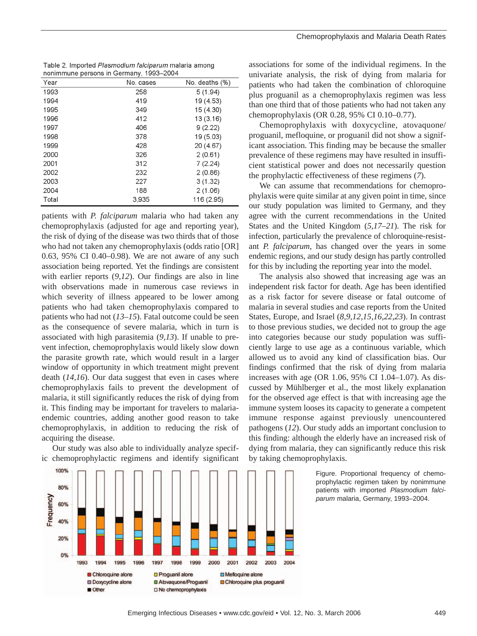| Table 2. Imported Plasmodium falciparum malaria among |  |
|-------------------------------------------------------|--|
| nonimmune persons in Germany, 1993-2004               |  |

| Year  | No. cases | No. deaths (%) |
|-------|-----------|----------------|
| 1993  | 258       | 5(1.94)        |
| 1994  | 419       | 19 (4.53)      |
| 1995  | 349       | 15 (4.30)      |
| 1996  | 412       | 13(3.16)       |
| 1997  | 406       | 9(2.22)        |
| 1998  | 378       | 19 (5.03)      |
| 1999  | 428       | 20 (4.67)      |
| 2000  | 326       | 2(0.61)        |
| 2001  | 312       | 7(2.24)        |
| 2002  | 232       | 2(0.86)        |
| 2003  | 227       | 3(1.32)        |
| 2004  | 188       | 2(1.06)        |
| Total | 3.935     | 116 (2.95)     |

patients with *P. falciparum* malaria who had taken any chemoprophylaxis (adjusted for age and reporting year), the risk of dying of the disease was two thirds that of those who had not taken any chemoprophylaxis (odds ratio [OR] 0.63, 95% CI 0.40–0.98). We are not aware of any such association being reported. Yet the findings are consistent with earlier reports (*9,12*). Our findings are also in line with observations made in numerous case reviews in which severity of illness appeared to be lower among patients who had taken chemoprophylaxis compared to patients who had not (*13–15*). Fatal outcome could be seen as the consequence of severe malaria, which in turn is associated with high parasitemia (*9,13*). If unable to prevent infection, chemoprophylaxis would likely slow down the parasite growth rate, which would result in a larger window of opportunity in which treatment might prevent death (*14,16*). Our data suggest that even in cases where chemoprophylaxis fails to prevent the development of malaria, it still significantly reduces the risk of dying from it. This finding may be important for travelers to malariaendemic countries, adding another good reason to take chemoprophylaxis, in addition to reducing the risk of acquiring the disease.

Our study was also able to individually analyze specific chemoprophylactic regimens and identify significant



associations for some of the individual regimens. In the univariate analysis, the risk of dying from malaria for patients who had taken the combination of chloroquine plus proguanil as a chemoprophylaxis regimen was less than one third that of those patients who had not taken any chemoprophylaxis (OR 0.28, 95% CI 0.10–0.77).

Chemoprophylaxis with doxycycline, atovaquone/ proguanil, mefloquine, or proguanil did not show a significant association. This finding may be because the smaller prevalence of these regimens may have resulted in insufficient statistical power and does not necessarily question the prophylactic effectiveness of these regimens (*7*).

We can assume that recommendations for chemoprophylaxis were quite similar at any given point in time, since our study population was limited to Germany, and they agree with the current recommendations in the United States and the United Kingdom (*5,17–21*). The risk for infection, particularly the prevalence of chloroquine-resistant *P. falciparum*, has changed over the years in some endemic regions, and our study design has partly controlled for this by including the reporting year into the model.

The analysis also showed that increasing age was an independent risk factor for death. Age has been identified as a risk factor for severe disease or fatal outcome of malaria in several studies and case reports from the United States, Europe, and Israel (*8,9,12,15,16,22,23*). In contrast to those previous studies, we decided not to group the age into categories because our study population was sufficiently large to use age as a continuous variable, which allowed us to avoid any kind of classification bias. Our findings confirmed that the risk of dying from malaria increases with age (OR 1.06, 95% CI 1.04–1.07). As discussed by Mühlberger et al., the most likely explanation for the observed age effect is that with increasing age the immune system looses its capacity to generate a competent immune response against previously unencountered pathogens (*12*). Our study adds an important conclusion to this finding: although the elderly have an increased risk of dying from malaria, they can significantly reduce this risk by taking chemoprophylaxis.

> Figure. Proportional frequency of chemoprophylactic regimen taken by nonimmune patients with imported *Plasmodium falciparum* malaria, Germany, 1993–2004.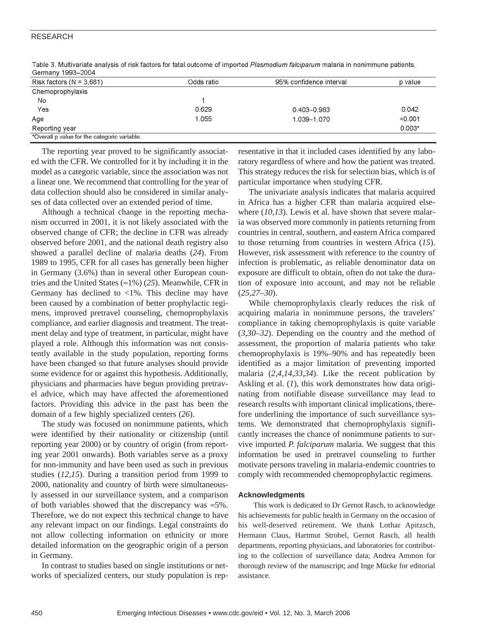# RESEARCH

| C                                            |            |                         |          |
|----------------------------------------------|------------|-------------------------|----------|
| Risk factors ( $N = 3,681$ )                 | Odds ratio | 95% confidence interval | p value  |
| Chemoprophylaxis                             |            |                         |          |
| No                                           |            |                         |          |
| Yes                                          | 0.629      | $0.403 - 0.983$         | 0.042    |
| Age                                          | 1.055      | 1.039-1.070             | < 0.001  |
| Reporting year                               |            |                         | $0.003*$ |
| *Overall p value for the categoric variable. |            |                         |          |

Table 3. Multivariate analysis of risk factors for fatal outcome of imported Plasmodium falciparum malaria in nonimmune patients,  $Common1003, 2004$ 

The reporting year proved to be significantly associated with the CFR. We controlled for it by including it in the model as a categoric variable, since the association was not a linear one. We recommend that controlling for the year of data collection should also be considered in similar analyses of data collected over an extended period of time.

Although a technical change in the reporting mechanism occurred in 2001, it is not likely associated with the observed change of CFR; the decline in CFR was already observed before 2001, and the national death registry also showed a parallel decline of malaria deaths (*24*). From 1989 to 1995, CFR for all cases has generally been higher in Germany (3.6%) than in several other European countries and the United States (≈1%) (*25*). Meanwhile, CFR in Germany has declined to  $\langle 1\% \rangle$ . This decline may have been caused by a combination of better prophylactic regimens, improved pretravel counseling, chemoprophylaxis compliance, and earlier diagnosis and treatment. The treatment delay and type of treatment, in particular, might have played a role. Although this information was not consistently available in the study population, reporting forms have been changed so that future analyses should provide some evidence for or against this hypothesis. Additionally, physicians and pharmacies have begun providing pretravel advice, which may have affected the aforementioned factors. Providing this advice in the past has been the domain of a few highly specialized centers (*26*).

The study was focused on nonimmune patients, which were identified by their nationality or citizenship (until reporting year 2000) or by country of origin (from reporting year 2001 onwards). Both variables serve as a proxy for non-immunity and have been used as such in previous studies (*12,15*). During a transition period from 1999 to 2000, nationality and country of birth were simultaneously assessed in our surveillance system, and a comparison of both variables showed that the discrepancy was ≈5%. Therefore, we do not expect this technical change to have any relevant impact on our findings. Legal constraints do not allow collecting information on ethnicity or more detailed information on the geographic origin of a person in Germany.

In contrast to studies based on single institutions or networks of specialized centers, our study population is representative in that it included cases identified by any laboratory regardless of where and how the patient was treated. This strategy reduces the risk for selection bias, which is of particular importance when studying CFR.

The univariate analysis indicates that malaria acquired in Africa has a higher CFR than malaria acquired elsewhere (*10,13*). Lewis et al. have shown that severe malaria was observed more commonly in patients returning from countries in central, southern, and eastern Africa compared to those returning from countries in western Africa (*15*). However, risk assessment with reference to the country of infection is problematic, as reliable denominator data on exposure are difficult to obtain, often do not take the duration of exposure into account, and may not be reliable (*25,27–30*).

While chemoprophylaxis clearly reduces the risk of acquiring malaria in nonimmune persons, the travelers' compliance in taking chemoprophylaxis is quite variable (*3,30–32*). Depending on the country and the method of assessment, the proportion of malaria patients who take chemoprophylaxis is 19%–90% and has repeatedly been identified as a major limitation of preventing imported malaria (*2,4,14,33,34*). Like the recent publication by Askling et al. (*1*), this work demonstrates how data originating from notifiable disease surveillance may lead to research results with important clinical implications, therefore underlining the importance of such surveillance systems. We demonstrated that chemoprophylaxis significantly increases the chance of nonimmune patients to survive imported *P. falciparum* malaria. We suggest that this information be used in pretravel counseling to further motivate persons traveling in malaria-endemic countries to comply with recommended chemoprophylactic regimens.

### **Acknowledgments**

This work is dedicated to Dr Gernot Rasch, to acknowledge his achievements for public health in Germany on the occasion of his well-deserved retirement. We thank Lothar Apitzsch, Hermann Claus, Hartmut Strobel, Gernot Rasch, all health departments, reporting physicians, and laboratories for contributing to the collection of surveillance data; Andrea Ammon for thorough review of the manuscript; and Inge Mücke for editorial assistance.